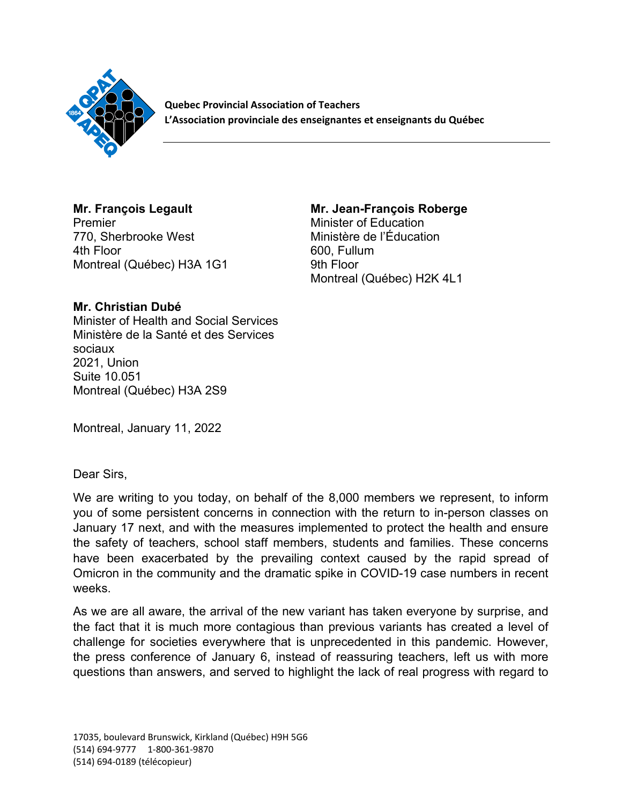

**Quebec Provincial Association of Teachers L'Association provinciale des enseignantes et enseignants du Québec** 

## **Mr. François Legault** Premier 770, Sherbrooke West 4th Floor Montreal (Québec) H3A 1G1

## **Mr. Jean-François Roberge**

Minister of Education Ministère de l'Éducation 600, Fullum 9th Floor Montreal (Québec) H2K 4L1

## **Mr. Christian Dubé**

Minister of Health and Social Services Ministère de la Santé et des Services sociaux 2021, Union Suite 10.051 Montreal (Québec) H3A 2S9

Montreal, January 11, 2022

Dear Sirs,

We are writing to you today, on behalf of the 8,000 members we represent, to inform you of some persistent concerns in connection with the return to in-person classes on January 17 next, and with the measures implemented to protect the health and ensure the safety of teachers, school staff members, students and families. These concerns have been exacerbated by the prevailing context caused by the rapid spread of Omicron in the community and the dramatic spike in COVID-19 case numbers in recent weeks.

As we are all aware, the arrival of the new variant has taken everyone by surprise, and the fact that it is much more contagious than previous variants has created a level of challenge for societies everywhere that is unprecedented in this pandemic. However, the press conference of January 6, instead of reassuring teachers, left us with more questions than answers, and served to highlight the lack of real progress with regard to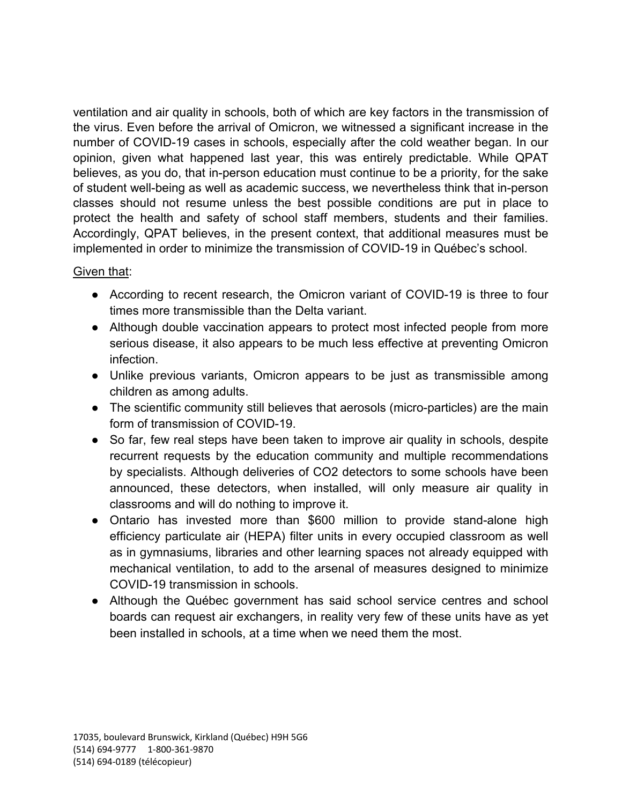ventilation and air quality in schools, both of which are key factors in the transmission of the virus. Even before the arrival of Omicron, we witnessed a significant increase in the number of COVID-19 cases in schools, especially after the cold weather began. In our opinion, given what happened last year, this was entirely predictable. While QPAT believes, as you do, that in-person education must continue to be a priority, for the sake of student well-being as well as academic success, we nevertheless think that in-person classes should not resume unless the best possible conditions are put in place to protect the health and safety of school staff members, students and their families. Accordingly, QPAT believes, in the present context, that additional measures must be implemented in order to minimize the transmission of COVID-19 in Québec's school.

## Given that:

- According to recent research, the Omicron variant of COVID-19 is three to four times more transmissible than the Delta variant.
- Although double vaccination appears to protect most infected people from more serious disease, it also appears to be much less effective at preventing Omicron infection.
- Unlike previous variants, Omicron appears to be just as transmissible among children as among adults.
- The scientific community still believes that aerosols (micro-particles) are the main form of transmission of COVID-19.
- So far, few real steps have been taken to improve air quality in schools, despite recurrent requests by the education community and multiple recommendations by specialists. Although deliveries of CO2 detectors to some schools have been announced, these detectors, when installed, will only measure air quality in classrooms and will do nothing to improve it.
- Ontario has invested more than \$600 million to provide stand-alone high efficiency particulate air (HEPA) filter units in every occupied classroom as well as in gymnasiums, libraries and other learning spaces not already equipped with mechanical ventilation, to add to the arsenal of measures designed to minimize COVID-19 transmission in schools.
- Although the Québec government has said school service centres and school boards can request air exchangers, in reality very few of these units have as yet been installed in schools, at a time when we need them the most.